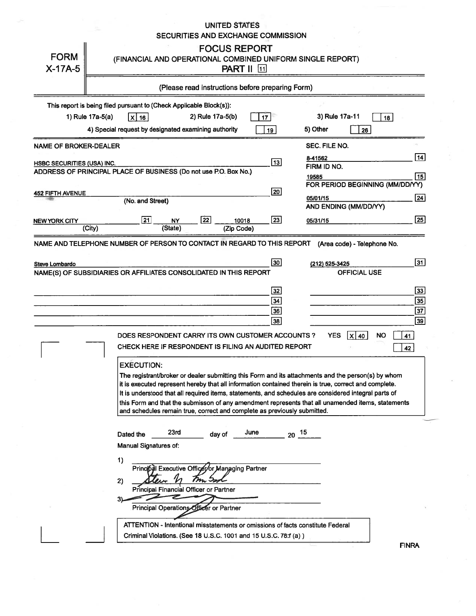#### **UNITED STATES** SECURITIES AND EXCHANGE COMMISSION

| <b>FORM</b><br>$X-17A-5$   | <b>FOCUS REPORT</b><br>(FINANCIAL AND OPERATIONAL COMBINED UNIFORM SINGLE REPORT)<br><b>PART II</b> 11                                                                                                                                                                                                                                                                                                                                                                                                                    |                       |
|----------------------------|---------------------------------------------------------------------------------------------------------------------------------------------------------------------------------------------------------------------------------------------------------------------------------------------------------------------------------------------------------------------------------------------------------------------------------------------------------------------------------------------------------------------------|-----------------------|
|                            | (Please read instructions before preparing Form)                                                                                                                                                                                                                                                                                                                                                                                                                                                                          |                       |
|                            | This report is being filed pursuant to (Check Applicable Block(s)):<br>1) Rule 17a-5(a)<br>2) Rule 17a-5(b)<br>3) Rule 17a-11<br>$X$ 16<br>17 <sup>1</sup><br>18                                                                                                                                                                                                                                                                                                                                                          |                       |
|                            | 4) Special request by designated examining authority<br>5) Other<br>19<br>26                                                                                                                                                                                                                                                                                                                                                                                                                                              |                       |
| NAME OF BROKER-DEALER      | SEC. FILE NO.                                                                                                                                                                                                                                                                                                                                                                                                                                                                                                             | $\vert$ 14            |
| HSBC SECURITIES (USA) INC. | 8-41562<br> 13 <br>FIRM ID NO.<br>ADDRESS OF PRINCIPAL PLACE OF BUSINESS (Do not use P.O. Box No.)<br>19585                                                                                                                                                                                                                                                                                                                                                                                                               | 15                    |
| 452 FIFTH AVENUE           | FOR PERIOD BEGINNING (MM/DD/YY)<br>20                                                                                                                                                                                                                                                                                                                                                                                                                                                                                     |                       |
|                            | 05/01/15<br>(No. and Street)<br>AND ENDING (MM/DD/YY)                                                                                                                                                                                                                                                                                                                                                                                                                                                                     | 24                    |
| NEW YORK CITY              | $\boxed{22}$<br>$\sqrt{21}$<br>$\boxed{23}$<br>10018<br><b>NY</b><br>05/31/15<br>(State)<br>(City)<br>(Zip Code)                                                                                                                                                                                                                                                                                                                                                                                                          | $\sqrt{25}$           |
|                            | NAME AND TELEPHONE NUMBER OF PERSON TO CONTACT IN REGARD TO THIS REPORT<br>(Area code) - Telephone No.                                                                                                                                                                                                                                                                                                                                                                                                                    |                       |
| Steve Lombardo             | 30 <br>(212) 525-3425<br><b>OFFICIAL USE</b><br>NAME(S) OF SUBSIDIARIES OR AFFILIATES CONSOLIDATED IN THIS REPORT                                                                                                                                                                                                                                                                                                                                                                                                         | $\boxed{31}$          |
|                            | 32                                                                                                                                                                                                                                                                                                                                                                                                                                                                                                                        | $\sqrt{33}$           |
|                            | 34<br>36                                                                                                                                                                                                                                                                                                                                                                                                                                                                                                                  | 35<br>$\overline{37}$ |
|                            | 38                                                                                                                                                                                                                                                                                                                                                                                                                                                                                                                        | $\sqrt{39}$           |
|                            | <b>YES</b><br>DOES RESPONDENT CARRY ITS OWN CUSTOMER ACCOUNTS ?<br>$\mathsf{\times}$ 40<br><b>NO</b><br>41                                                                                                                                                                                                                                                                                                                                                                                                                |                       |
|                            | CHECK HERE IF RESPONDENT IS FILING AN AUDITED REPORT<br>42                                                                                                                                                                                                                                                                                                                                                                                                                                                                |                       |
|                            | <b>EXECUTION:</b><br>The registrant/broker or dealer submitting this Form and its attachments and the person(s) by whom<br>it is executed represent hereby that all information contained therein is true, correct and complete.<br>It is understood that all required items, statements, and schedules are considered integral parts of<br>this Form and that the submisson of any amendment represents that all unamended items, statements<br>and schedules remain true, correct and complete as previously submitted. |                       |
|                            | 23rd<br>June<br>$20^{15}$<br>Dated the<br>day of<br>Manual Signatures of:                                                                                                                                                                                                                                                                                                                                                                                                                                                 |                       |
|                            | 1)<br>Principal Executive Officet/or Managing Partner<br>$m\!>$<br>2)<br>Principal Financial Officer or Partner<br>z<br>3).<br>Principal Operations Officer or Partner                                                                                                                                                                                                                                                                                                                                                    |                       |
|                            | ATTENTION - Intentional misstatements or omissions of facts constitute Federal                                                                                                                                                                                                                                                                                                                                                                                                                                            |                       |
|                            | Criminal Violations. (See 18 U.S.C. 1001 and 15 U.S.C. 78:f (a))<br><b>FINRA</b>                                                                                                                                                                                                                                                                                                                                                                                                                                          |                       |

INRA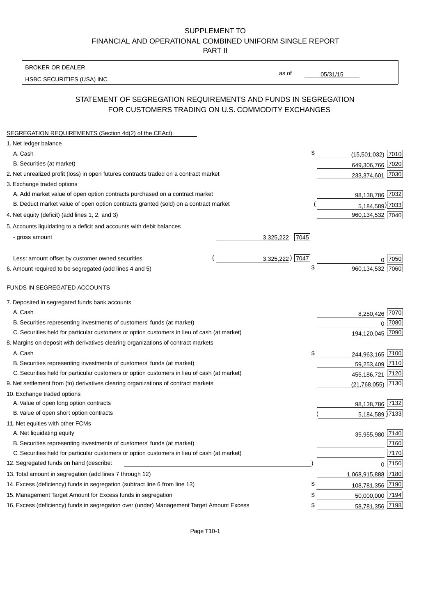### SUPPLEMENT TO FINANCIAL AND OPERATIONAL COMBINED UNIFORM SINGLE REPORT PART II

BROKER OR DEALER

HSBC SECURITIES (USA) INC.

 $05/31/15$ 

as of

## STATEMENT OF SEGREGATION REQUIREMENTS AND FUNDS IN SEGREGATION FOR CUSTOMERS TRADING ON U.S. COMMODITY EXCHANGES

| SEGREGATION REQUIREMENTS (Section 4d(2) of the CEAct)                                       |                   |                     |             |
|---------------------------------------------------------------------------------------------|-------------------|---------------------|-------------|
| 1. Net ledger balance                                                                       |                   |                     |             |
| A. Cash                                                                                     | \$                | $(15,501,032)$ 7010 |             |
| B. Securities (at market)                                                                   |                   | 649,306,766 7020    |             |
| 2. Net unrealized profit (loss) in open futures contracts traded on a contract market       |                   | 233,374,601 7030    |             |
| 3. Exchange traded options                                                                  |                   |                     |             |
| A. Add market value of open option contracts purchased on a contract market                 |                   | 98,138,786 7032     |             |
| B. Deduct market value of open option contracts granted (sold) on a contract market         |                   | 5,184,589) 7033     |             |
| 4. Net equity (deficit) (add lines 1, 2, and 3)                                             |                   | 960, 134, 532 7040  |             |
| 5. Accounts liquidating to a deficit and accounts with debit balances                       |                   |                     |             |
| - gross amount                                                                              | 3,325,222<br>7045 |                     |             |
|                                                                                             |                   |                     |             |
| Less: amount offset by customer owned securities                                            | 3,325,222) 7047   |                     | 0.7050      |
| 6. Amount required to be segregated (add lines 4 and 5)                                     | \$                | 960,134,532 7060    |             |
|                                                                                             |                   |                     |             |
| FUNDS IN SEGREGATED ACCOUNTS                                                                |                   |                     |             |
| 7. Deposited in segregated funds bank accounts                                              |                   |                     |             |
| A. Cash                                                                                     |                   | 8,250,426           | <u>7070</u> |
| B. Securities representing investments of customers' funds (at market)                      |                   | $\Omega$            | 7080        |
| C. Securities held for particular customers or option customers in lieu of cash (at market) |                   | 194,120,045 7090    |             |
| 8. Margins on deposit with derivatives clearing organizations of contract markets           |                   |                     |             |
| A. Cash                                                                                     | \$                | 244,963,165 7100    |             |
| B. Securities representing investments of customers' funds (at market)                      |                   | 59,253,409 7110     |             |
| C. Securities held for particular customers or option customers in lieu of cash (at market) |                   | 455,186,721         | 7120        |
| 9. Net settlement from (to) derivatives clearing organizations of contract markets          |                   | (21, 768, 055)      | 7130        |
| 10. Exchange traded options                                                                 |                   |                     |             |
| A. Value of open long option contracts                                                      |                   | 98,138,786 7132     |             |
| B. Value of open short option contracts                                                     |                   | 5,184,589 7133      |             |
| 11. Net equities with other FCMs                                                            |                   |                     |             |
| A. Net liquidating equity                                                                   |                   | 35,955,980 7140     |             |
| B. Securities representing investments of customers' funds (at market)                      |                   |                     | 7160        |
| C. Securities held for particular customers or option customers in lieu of cash (at market) |                   |                     | 7170        |
| 12. Segregated funds on hand (describe:                                                     |                   |                     | $0$ 7150    |
| 13. Total amount in segregation (add lines 7 through 12)                                    |                   | 1,068,915,888 7180  |             |
| 14. Excess (deficiency) funds in segregation (subtract line 6 from line 13)                 | S                 | 108,781,356 7190    |             |
| 15. Management Target Amount for Excess funds in segregation                                | £                 | 50,000,000 7194     |             |
| 16. Excess (deficiency) funds in segregation over (under) Management Target Amount Excess   | \$                | 58,781,356 7198     |             |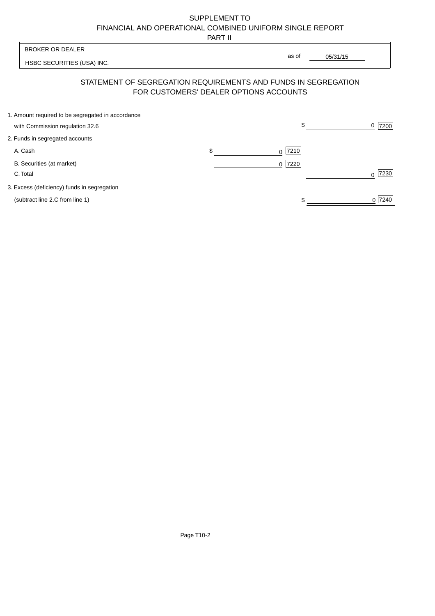# SUPPLEMENT TO FINANCIAL AND OPERATIONAL COMBINED UNIFORM SINGLE REPORT

PART II

 $\overline{\phantom{a}}$ 

| <b>BROKER OR DEALER</b>                                                                                  | as of             |          |                  |
|----------------------------------------------------------------------------------------------------------|-------------------|----------|------------------|
| HSBC SECURITIES (USA) INC.                                                                               |                   | 05/31/15 |                  |
| STATEMENT OF SEGREGATION REQUIREMENTS AND FUNDS IN SEGREGATION<br>FOR CUSTOMERS' DEALER OPTIONS ACCOUNTS |                   |          |                  |
| 1. Amount required to be segregated in accordance<br>with Commission regulation 32.6                     | \$                |          | 7200<br>0        |
| 2. Funds in segregated accounts                                                                          |                   |          |                  |
| A. Cash                                                                                                  | \$<br> 7210 <br>0 |          |                  |
| B. Securities (at market)<br>C. Total                                                                    | 7220<br>0         |          | 7230<br>$\Omega$ |
| 3. Excess (deficiency) funds in segregation                                                              |                   |          |                  |
| (subtract line 2.C from line 1)                                                                          |                   |          | 0 7240           |

 $\overline{1}$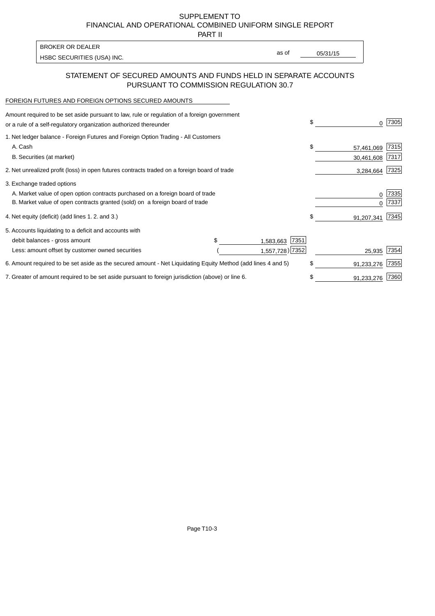SUPPLEMENT TO FINANCIAL AND OPERATIONAL COMBINED UNIFORM SINGLE REPORT

PART II

| HSBC SECURITIES (USA) INC. | as of | 05/31/15 |
|----------------------------|-------|----------|

### STATEMENT OF SECURED AMOUNTS AND FUNDS HELD IN SEPARATE ACCOUNTS PURSUANT TO COMMISSION REGULATION 30.7

#### FOREIGN FUTURES AND FOREIGN OPTIONS SECURED AMOUNTS

| Amount required to be set aside pursuant to law, rule or regulation of a foreign government<br>or a rule of a self-regulatory organization authorized thereunder |     |                   | \$               | 7305 |
|------------------------------------------------------------------------------------------------------------------------------------------------------------------|-----|-------------------|------------------|------|
| 1. Net ledger balance - Foreign Futures and Foreign Option Trading - All Customers                                                                               |     |                   |                  |      |
| A. Cash                                                                                                                                                          |     |                   | \$<br>57,461,069 | 7315 |
| B. Securities (at market)                                                                                                                                        |     |                   | 30,461,608       | 7317 |
| 2. Net unrealized profit (loss) in open futures contracts traded on a foreign board of trade                                                                     |     |                   | 3,284,664        | 7325 |
| 3. Exchange traded options                                                                                                                                       |     |                   |                  |      |
| A. Market value of open option contracts purchased on a foreign board of trade                                                                                   |     |                   | 0                | 7335 |
| B. Market value of open contracts granted (sold) on a foreign board of trade                                                                                     |     |                   |                  | 7337 |
| 4. Net equity (deficit) (add lines 1.2. and 3.)                                                                                                                  |     |                   | \$<br>91,207,341 | 7345 |
| 5. Accounts liquidating to a deficit and accounts with                                                                                                           |     |                   |                  |      |
| debit balances - gross amount                                                                                                                                    | \$. | 7351<br>1,583,663 |                  |      |
| Less: amount offset by customer owned securities                                                                                                                 |     | 1,557,728) 7352   | 25,935           | 7354 |
| 6. Amount required to be set aside as the secured amount - Net Liquidating Equity Method (add lines 4 and 5)                                                     |     |                   | \$<br>91,233,276 | 7355 |
| 7. Greater of amount required to be set aside pursuant to foreign jurisdiction (above) or line 6.                                                                |     |                   | 91,233,276       | 7360 |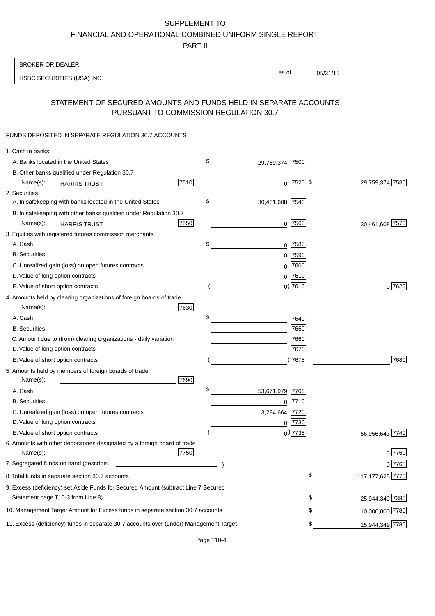# SUPPLEMENT TO

FINANCIAL AND OPERATIONAL COMBINED UNIFORM SINGLE REPORT

PART II

### BROKER OR DEALER

HSBC SECURITIES (USA) INC.

05/31/15 as of

## STATEMENT OF SECURED AMOUNTS AND FUNDS HELD IN SEPARATE ACCOUNTS PURSUANT TO COMMISSION REGULATION 30.7

#### FUNDS DEPOSITED IN SEPARATE REGULATION 30.7 ACCOUNTS

| 1. Cash in banks                                                                              |                       |               |                    |
|-----------------------------------------------------------------------------------------------|-----------------------|---------------|--------------------|
| A. Banks located in the United States                                                         | \$<br>29,759,374 7500 |               |                    |
| B. Other banks qualified under Regulation 30.7                                                |                       |               |                    |
| 7510<br>Name(s):<br><b>HARRIS TRUST</b>                                                       |                       | $0$ $2520$ \$ | 29,759,374 7530    |
| 2. Securities                                                                                 |                       |               |                    |
| A. In safekeeping with banks located in the United States                                     | \$<br>30,461,608 7540 |               |                    |
| B. In safekeeping with other banks qualified under Regulation 30.7                            |                       |               |                    |
| 7550<br>Name(s):<br><b>HARRIS TRUST</b>                                                       |                       | $0$ 7560      | 30,461,608 7570    |
| 3. Equities with registered futures commission merchants                                      |                       |               |                    |
| A. Cash                                                                                       | \$                    | $0$   7580    |                    |
| <b>B.</b> Securities                                                                          | 0                     | 7590          |                    |
| C. Unrealized gain (loss) on open futures contracts                                           | $\mathbf 0$           | 7600          |                    |
| D. Value of long option contracts                                                             |                       | $0$ 7610      |                    |
| E. Value of short option contracts                                                            |                       | $0$ ) 7615    | 0 7620             |
| 4. Amounts held by clearing organizations of foreign boards of trade                          |                       |               |                    |
| Name(s):<br>7630                                                                              |                       |               |                    |
| A. Cash                                                                                       | \$                    | 7640          |                    |
| <b>B.</b> Securities                                                                          |                       | 7650          |                    |
| C. Amount due to (from) clearing organizations - daily variation                              |                       | 7660          |                    |
| D. Value of long option contracts                                                             |                       | 7670          |                    |
| E. Value of short option contracts                                                            |                       | ) 7675        | 7680               |
| 5. Amounts held by members of foreign boards of trade                                         |                       |               |                    |
| Name(s):<br>7690                                                                              |                       |               |                    |
| A. Cash                                                                                       | \$<br>53,671,979      | 7700          |                    |
| <b>B.</b> Securities                                                                          |                       | $0$ 7710      |                    |
| C. Unrealized gain (loss) on open futures contracts                                           | 3,284,664 7720        |               |                    |
| D. Value of long option contracts                                                             |                       | $0$  7730     |                    |
| E. Value of short option contracts                                                            |                       | $_0$ ) 7735   | 56,956,643 7740    |
| 6. Amounts with other depositories designated by a foreign board of trade<br>7750<br>Name(s): |                       |               | 0 7760             |
| 7. Segregated funds on hand (describe:                                                        |                       |               |                    |
|                                                                                               |                       |               | 0 7765             |
| 8. Total funds in separate section 30.7 accounts                                              |                       | \$            | 117, 177, 625 7770 |
| 9. Excess (deficiency) set Aside Funds for Secured Amount (subtract Line 7 Secured            |                       |               |                    |
| Statement page T10-3 from Line 8)                                                             |                       | \$            | 25,944,349 7380    |
| 10. Management Target Amount for Excess funds in separate section 30.7 accounts               |                       | \$            | 10,000,000 7780    |
| 11. Excess (deficiency) funds in separate 30.7 accounts over (under) Management Target        |                       | \$            | 15,944,349 7785    |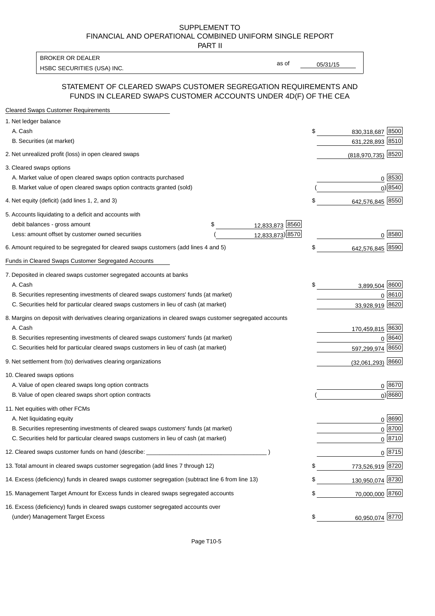#### SUPPLEMENT TO FINANCIAL AND OPERATIONAL COMBINED UNIFORM SINGLE REPORT PART II

HSBC SECURITIES (USA) INC. The state of the state of the state of the state of the state of the state of the state of the state of the state of the state of the state of the state of the state of the state of the state of BROKER OR DEALER

as of

### STATEMENT OF CLEARED SWAPS CUSTOMER SEGREGATION REQUIREMENTS AND FUNDS IN CLEARED SWAPS CUSTOMER ACCOUNTS UNDER 4D(F) OF THE CEA

| <b>Cleared Swaps Customer Requirements</b>                                                                  |                  |    |                  |               |
|-------------------------------------------------------------------------------------------------------------|------------------|----|------------------|---------------|
| 1. Net ledger balance                                                                                       |                  |    |                  |               |
| A. Cash                                                                                                     |                  | \$ | 830,318,687      | 8500          |
| B. Securities (at market)                                                                                   |                  |    | 631,228,893 8510 |               |
| 2. Net unrealized profit (loss) in open cleared swaps                                                       |                  |    | (818, 970, 735)  | 8520          |
| 3. Cleared swaps options                                                                                    |                  |    |                  |               |
| A. Market value of open cleared swaps option contracts purchased                                            |                  |    |                  | $0^{8530}$    |
| B. Market value of open cleared swaps option contracts granted (sold)                                       |                  |    |                  | $0)$ 8540     |
| 4. Net equity (deficit) (add lines 1, 2, and 3)                                                             |                  | \$ | 642,576,845 8550 |               |
| 5. Accounts liquidating to a deficit and accounts with                                                      |                  |    |                  |               |
| debit balances - gross amount<br>\$                                                                         | 12,833,873 8560  |    |                  |               |
| Less: amount offset by customer owned securities                                                            | 12,833,873) 8570 |    |                  | 0 8580        |
| 6. Amount required to be segregated for cleared swaps customers (add lines 4 and 5)                         |                  | S  | 642,576,845 8590 |               |
| Funds in Cleared Swaps Customer Segregated Accounts                                                         |                  |    |                  |               |
| 7. Deposited in cleared swaps customer segregated accounts at banks                                         |                  |    |                  |               |
| A. Cash                                                                                                     |                  | \$ | 3,899,504        | 8600          |
| B. Securities representing investments of cleared swaps customers' funds (at market)                        |                  |    | 0                | 8610          |
| C. Securities held for particular cleared swaps customers in lieu of cash (at market)                       |                  |    | 33,928,919 8620  |               |
| 8. Margins on deposit with derivatives clearing organizations in cleared swaps customer segregated accounts |                  |    |                  |               |
| A. Cash                                                                                                     |                  |    | 170,459,815 8630 |               |
| B. Securities representing investments of cleared swaps customers' funds (at market)                        |                  |    | $\Omega$         | 8640          |
| C. Securities held for particular cleared swaps customers in lieu of cash (at market)                       |                  |    | 597,299,974      | 8650          |
| 9. Net settlement from (to) derivatives clearing organizations                                              |                  |    | (32,061,293)     | 8660          |
| 10. Cleared swaps options                                                                                   |                  |    |                  |               |
| A. Value of open cleared swaps long option contracts                                                        |                  |    |                  | $0^{8670}$    |
| B. Value of open cleared swaps short option contracts                                                       |                  |    |                  | $0$ ) 8680    |
| 11. Net equities with other FCMs                                                                            |                  |    |                  |               |
| A. Net liquidating equity                                                                                   |                  |    |                  | $0^{8690}$    |
| B. Securities representing investments of cleared swaps customers' funds (at market)                        |                  |    |                  | $0^{8700}$    |
| C. Securities held for particular cleared swaps customers in lieu of cash (at market)                       |                  |    |                  | 0 8710        |
| 12. Cleared swaps customer funds on hand (describe: _                                                       |                  |    |                  | $0 \;  8715 $ |
| 13. Total amount in cleared swaps customer segregation (add lines 7 through 12)                             |                  |    | 773,526,919 8720 |               |
| 14. Excess (deficiency) funds in cleared swaps customer segregation (subtract line 6 from line 13)          |                  |    | 130,950,074 8730 |               |
| 15. Management Target Amount for Excess funds in cleared swaps segregated accounts                          |                  | \$ | 70,000,000 8760  |               |
| 16. Excess (deficiency) funds in cleared swaps customer segregated accounts over                            |                  |    |                  |               |
| (under) Management Target Excess                                                                            |                  | \$ | 60,950,074 8770  |               |